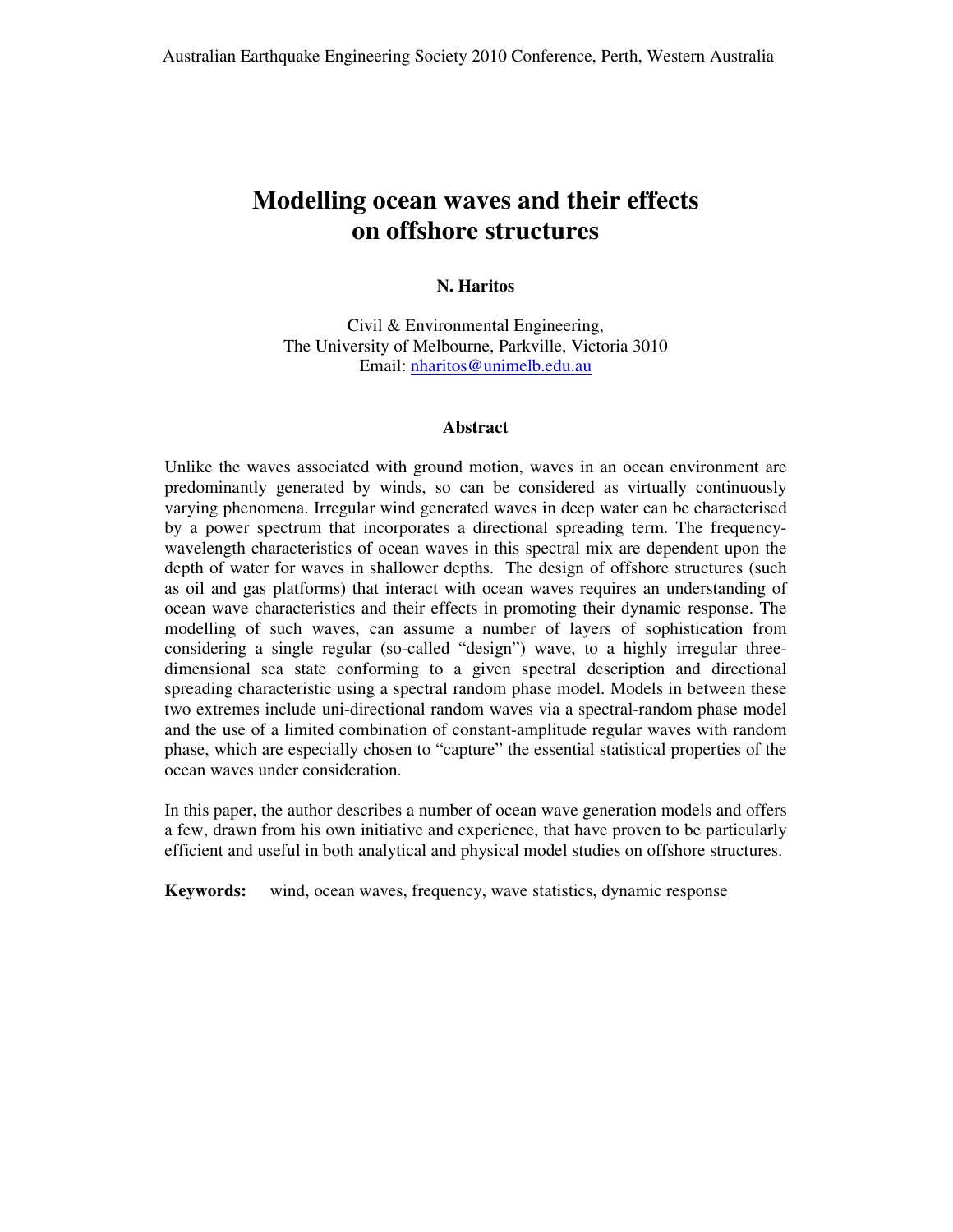# **Modelling ocean waves and their effects on offshore structures**

## **N. Haritos**

Civil & Environmental Engineering, The University of Melbourne, Parkville, Victoria 3010 Email: nharitos@unimelb.edu.au

## **Abstract**

Unlike the waves associated with ground motion, waves in an ocean environment are predominantly generated by winds, so can be considered as virtually continuously varying phenomena. Irregular wind generated waves in deep water can be characterised by a power spectrum that incorporates a directional spreading term. The frequencywavelength characteristics of ocean waves in this spectral mix are dependent upon the depth of water for waves in shallower depths. The design of offshore structures (such as oil and gas platforms) that interact with ocean waves requires an understanding of ocean wave characteristics and their effects in promoting their dynamic response. The modelling of such waves, can assume a number of layers of sophistication from considering a single regular (so-called "design") wave, to a highly irregular threedimensional sea state conforming to a given spectral description and directional spreading characteristic using a spectral random phase model. Models in between these two extremes include uni-directional random waves via a spectral-random phase model and the use of a limited combination of constant-amplitude regular waves with random phase, which are especially chosen to "capture" the essential statistical properties of the ocean waves under consideration.

In this paper, the author describes a number of ocean wave generation models and offers a few, drawn from his own initiative and experience, that have proven to be particularly efficient and useful in both analytical and physical model studies on offshore structures.

**Keywords:** wind, ocean waves, frequency, wave statistics, dynamic response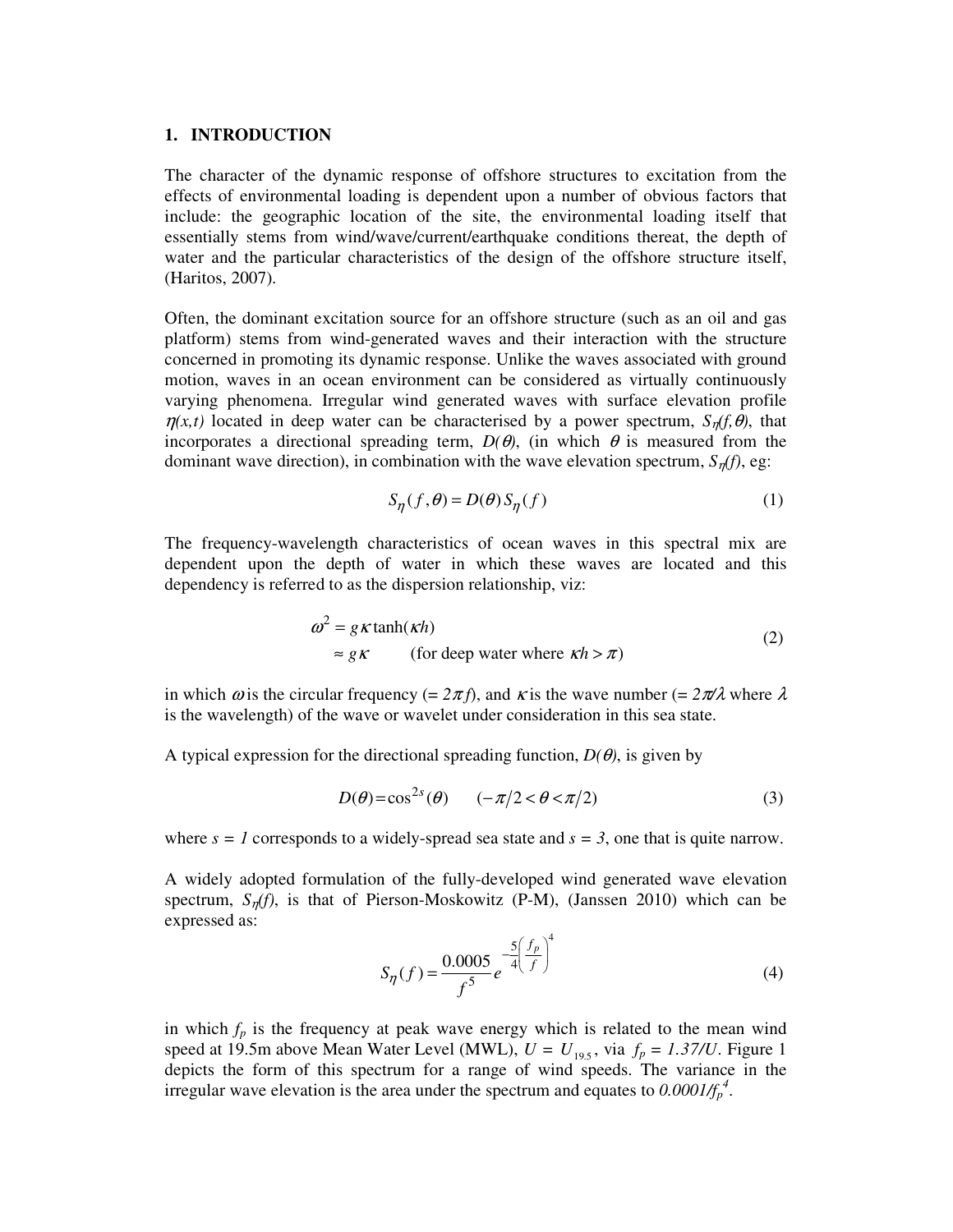## **1. INTRODUCTION**

The character of the dynamic response of offshore structures to excitation from the effects of environmental loading is dependent upon a number of obvious factors that include: the geographic location of the site, the environmental loading itself that essentially stems from wind/wave/current/earthquake conditions thereat, the depth of water and the particular characteristics of the design of the offshore structure itself, (Haritos, 2007).

Often, the dominant excitation source for an offshore structure (such as an oil and gas platform) stems from wind-generated waves and their interaction with the structure concerned in promoting its dynamic response. Unlike the waves associated with ground motion, waves in an ocean environment can be considered as virtually continuously varying phenomena. Irregular wind generated waves with surface elevation profile  $\eta(x,t)$  located in deep water can be characterised by a power spectrum,  $S_n(f, \theta)$ , that incorporates a directional spreading term,  $D(\theta)$ , (in which  $\theta$  is measured from the dominant wave direction), in combination with the wave elevation spectrum,  $S_n(f)$ , eg:

$$
S_{\eta}(f,\theta) = D(\theta) S_{\eta}(f)
$$
 (1)

The frequency-wavelength characteristics of ocean waves in this spectral mix are dependent upon the depth of water in which these waves are located and this dependency is referred to as the dispersion relationship, viz:

$$
\omega^2 = g \kappa \tanh(\kappa h)
$$
  
\n
$$
\approx g \kappa \qquad \text{(for deep water where } \kappa h > \pi)
$$
\n
$$
\tag{2}
$$

in which  $\omega$  is the circular frequency (=  $2\pi f$ ), and  $\kappa$  is the wave number (=  $2\pi/\lambda$  where  $\lambda$ is the wavelength) of the wave or wavelet under consideration in this sea state.

A typical expression for the directional spreading function,  $D(\theta)$ , is given by

$$
D(\theta) = \cos^{2s}(\theta) \qquad (-\pi/2 < \theta < \pi/2) \tag{3}
$$

where  $s = 1$  corresponds to a widely-spread sea state and  $s = 3$ , one that is quite narrow.

A widely adopted formulation of the fully-developed wind generated wave elevation spectrum,  $S_n(f)$ , is that of Pierson-Moskowitz (P-M), (Janssen 2010) which can be expressed as:

$$
S_{\eta}(f) = \frac{0.0005}{f^5} e^{-\frac{5}{4} \left(\frac{f_p}{f}\right)^4}
$$
 (4)

in which  $f_p$  is the frequency at peak wave energy which is related to the mean wind speed at 19.5m above Mean Water Level (MWL),  $U = U_{19.5}$ , via  $f_p = 1.37/U$ . Figure 1 depicts the form of this spectrum for a range of wind speeds. The variance in the irregular wave elevation is the area under the spectrum and equates to  $0.0001/f_p^4$ .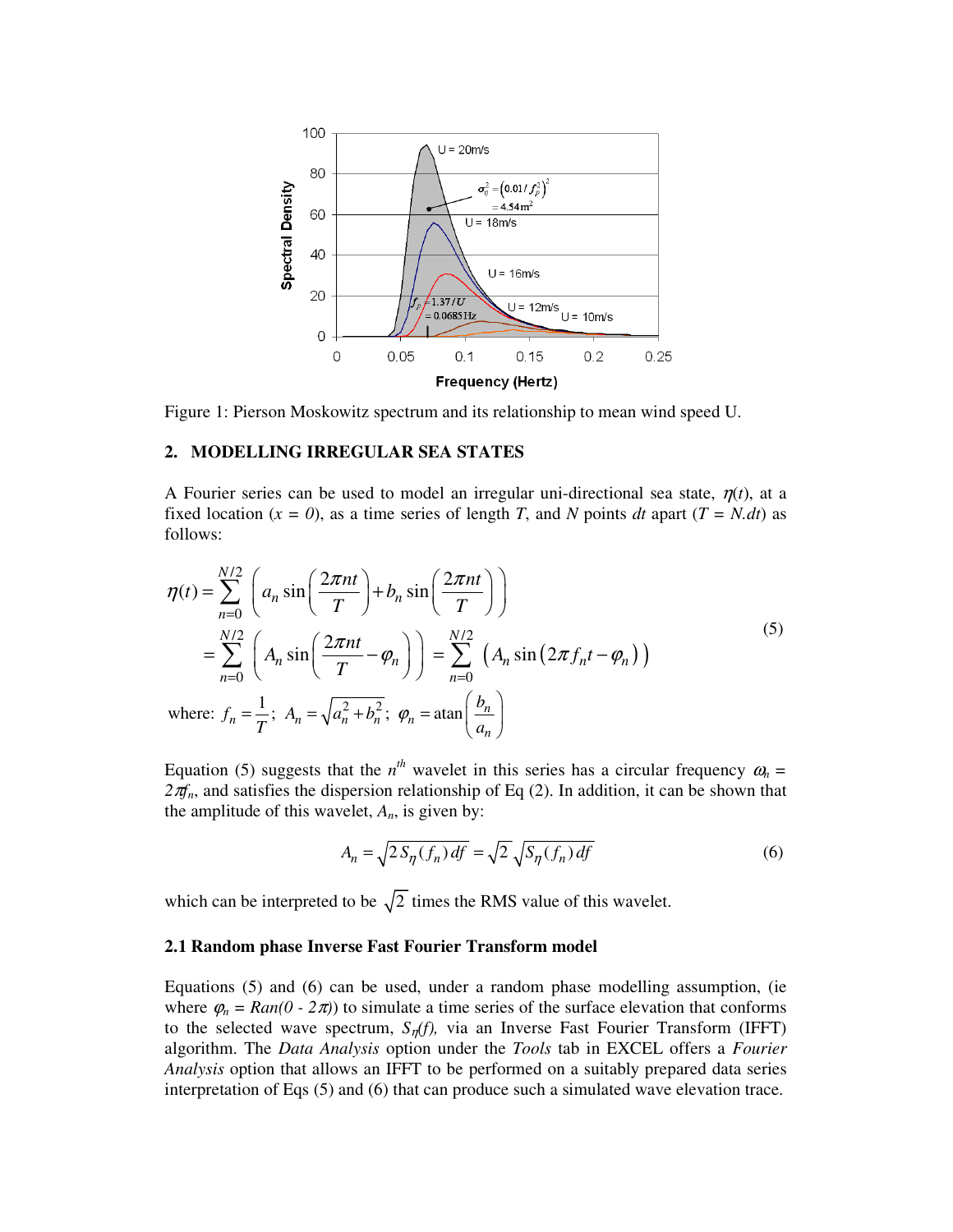

Figure 1: Pierson Moskowitz spectrum and its relationship to mean wind speed U.

# **2. MODELLING IRREGULAR SEA STATES**

A Fourier series can be used to model an irregular uni-directional sea state,  $\eta(t)$ , at a fixed location  $(x = 0)$ , as a time series of length *T*, and *N* points *dt* apart  $(T = N \cdot dt)$  as follows:

$$
\eta(t) = \sum_{n=0}^{N/2} \left( a_n \sin\left(\frac{2\pi nt}{T}\right) + b_n \sin\left(\frac{2\pi nt}{T}\right) \right)
$$
  
\n
$$
= \sum_{n=0}^{N/2} \left( A_n \sin\left(\frac{2\pi nt}{T} - \varphi_n\right) \right) = \sum_{n=0}^{N/2} \left( A_n \sin\left(2\pi f_n t - \varphi_n\right) \right)
$$
  
\nwhere:  $f_n = \frac{1}{T}$ ;  $A_n = \sqrt{a_n^2 + b_n^2}$ ;  $\varphi_n = \operatorname{atan}\left(\frac{b_n}{a_n}\right)$  (5)

Equation (5) suggests that the  $n^{th}$  wavelet in this series has a circular frequency  $\omega_n =$  $2\pi f_n$ , and satisfies the dispersion relationship of Eq (2). In addition, it can be shown that the amplitude of this wavelet,  $A_n$ , is given by:

$$
A_n = \sqrt{2S_\eta(f_n)df} = \sqrt{2}\sqrt{S_\eta(f_n)df}
$$
\n(6)

which can be interpreted to be  $\sqrt{2}$  times the RMS value of this wavelet.

## **2.1 Random phase Inverse Fast Fourier Transform model**

Equations (5) and (6) can be used, under a random phase modelling assumption, (ie where  $\varphi_n = Ran(0 - 2\pi)$  to simulate a time series of the surface elevation that conforms to the selected wave spectrum, *S*η*(f),* via an Inverse Fast Fourier Transform (IFFT) algorithm. The *Data Analysis* option under the *Tools* tab in EXCEL offers a *Fourier Analysis* option that allows an IFFT to be performed on a suitably prepared data series interpretation of Eqs (5) and (6) that can produce such a simulated wave elevation trace.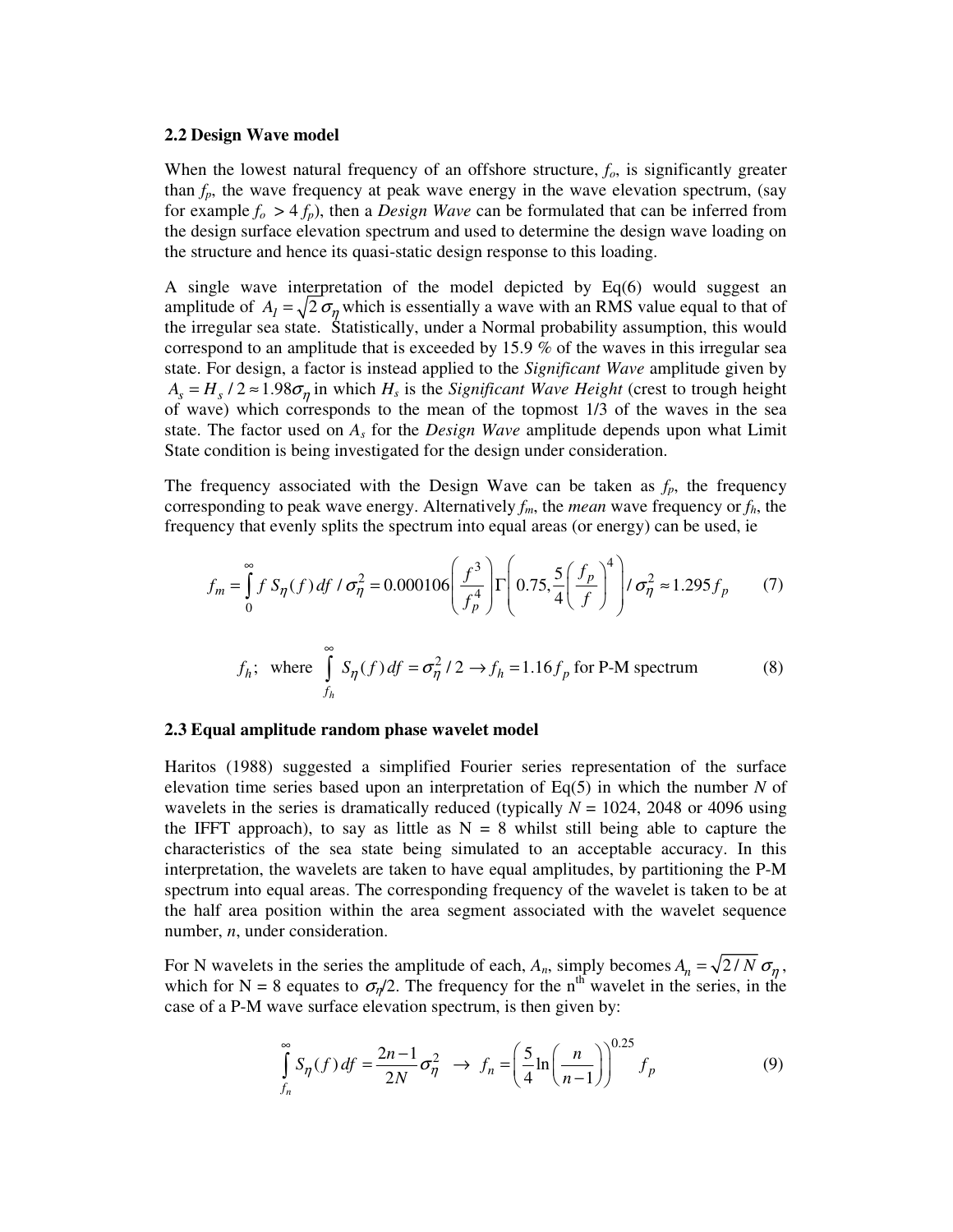#### **2.2 Design Wave model**

When the lowest natural frequency of an offshore structure, *fo*, is significantly greater than  $f_p$ , the wave frequency at peak wave energy in the wave elevation spectrum, (say for example  $f_o > 4 f_p$ ), then a *Design Wave* can be formulated that can be inferred from the design surface elevation spectrum and used to determine the design wave loading on the structure and hence its quasi-static design response to this loading.

A single wave interpretation of the model depicted by Eq(6) would suggest an amplitude of  $A_1 = \sqrt{2} \sigma_n$  which is essentially a wave with an RMS value equal to that of the irregular sea state. Statistically, under a Normal probability assumption, this would correspond to an amplitude that is exceeded by 15.9 % of the waves in this irregular sea state. For design, a factor is instead applied to the *Significant Wave* amplitude given by  $A_s = H_s / 2 \approx 1.98 \sigma_{\eta}$  in which  $H_s$  is the *Significant Wave Height* (crest to trough height of wave) which corresponds to the mean of the topmost 1/3 of the waves in the sea state. The factor used on  $A<sub>s</sub>$  for the *Design Wave* amplitude depends upon what Limit State condition is being investigated for the design under consideration.

The frequency associated with the Design Wave can be taken as  $f_p$ , the frequency corresponding to peak wave energy. Alternatively  $f_m$ , the *mean* wave frequency or  $f_h$ , the frequency that evenly splits the spectrum into equal areas (or energy) can be used, ie

$$
f_m = \int_0^\infty f S_\eta(f) \, df \, / \, \sigma_\eta^2 = 0.000106 \left( \frac{f^3}{f_p^4} \right) \Gamma \left( 0.75, \frac{5}{4} \left( \frac{f_p}{f} \right)^4 \right) \, / \, \sigma_\eta^2 \approx 1.295 f_p \tag{7}
$$

$$
f_h; \text{ where } \int_{f_h}^{\infty} S_{\eta}(f) df = \sigma_{\eta}^2 / 2 \to f_h = 1.16 f_p \text{ for P-M spectrum}
$$
 (8)

#### **2.3 Equal amplitude random phase wavelet model**

Haritos (1988) suggested a simplified Fourier series representation of the surface elevation time series based upon an interpretation of Eq(5) in which the number *N* of wavelets in the series is dramatically reduced (typically  $N = 1024$ , 2048 or 4096 using the IFFT approach), to say as little as  $N = 8$  whilst still being able to capture the characteristics of the sea state being simulated to an acceptable accuracy. In this interpretation, the wavelets are taken to have equal amplitudes, by partitioning the P-M spectrum into equal areas. The corresponding frequency of the wavelet is taken to be at the half area position within the area segment associated with the wavelet sequence number, *n*, under consideration.

For N wavelets in the series the amplitude of each,  $A_n$ , simply becomes  $A_n = \sqrt{2/N} \sigma_n$ , which for N = 8 equates to  $\sigma_{n}/2$ . The frequency for the n<sup>th</sup> wavelet in the series, in the case of a P-M wave surface elevation spectrum, is then given by:

$$
\int_{f_n}^{\infty} S_{\eta}(f) df = \frac{2n-1}{2N} \sigma_{\eta}^2 \to f_n = \left(\frac{5}{4} \ln \left(\frac{n}{n-1}\right)\right)^{0.25} f_p
$$
 (9)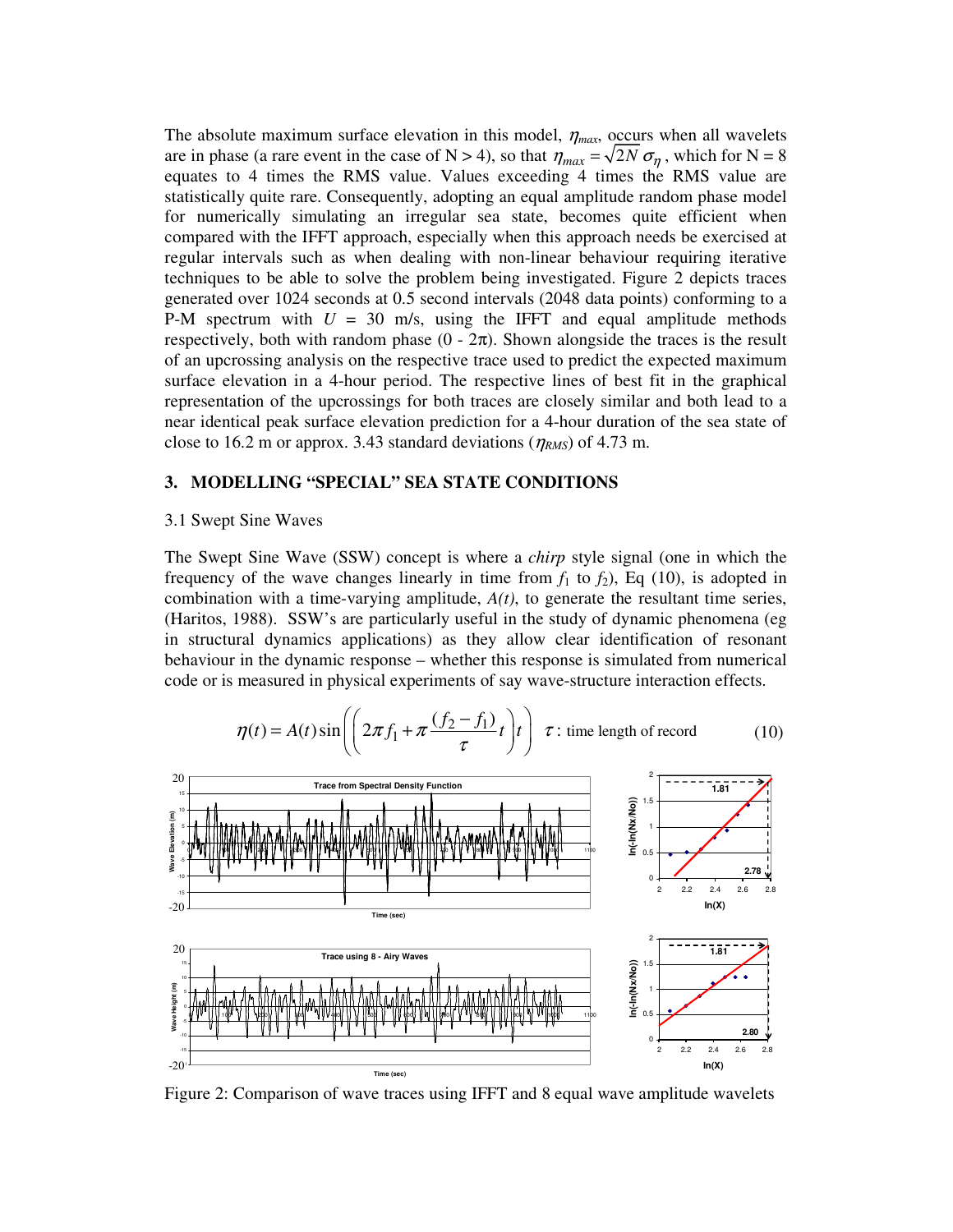The absolute maximum surface elevation in this model,  $\eta_{max}$ , occurs when all wavelets are in phase (a rare event in the case of N > 4), so that  $\eta_{max} = \sqrt{2N} \sigma_{\eta}$ , which for N = 8 equates to 4 times the RMS value. Values exceeding 4 times the RMS value are statistically quite rare. Consequently, adopting an equal amplitude random phase model for numerically simulating an irregular sea state, becomes quite efficient when compared with the IFFT approach, especially when this approach needs be exercised at regular intervals such as when dealing with non-linear behaviour requiring iterative techniques to be able to solve the problem being investigated. Figure 2 depicts traces generated over 1024 seconds at 0.5 second intervals (2048 data points) conforming to a P-M spectrum with  $U = 30$  m/s, using the IFFT and equal amplitude methods respectively, both with random phase  $(0 - 2\pi)$ . Shown alongside the traces is the result of an upcrossing analysis on the respective trace used to predict the expected maximum surface elevation in a 4-hour period. The respective lines of best fit in the graphical representation of the upcrossings for both traces are closely similar and both lead to a near identical peak surface elevation prediction for a 4-hour duration of the sea state of close to 16.2 m or approx. 3.43 standard deviations ( $\eta_{RMS}$ ) of 4.73 m.

# **3. MODELLING "SPECIAL" SEA STATE CONDITIONS**

#### 3.1 Swept Sine Waves

The Swept Sine Wave (SSW) concept is where a *chirp* style signal (one in which the frequency of the wave changes linearly in time from  $f_1$  to  $f_2$ ), Eq (10), is adopted in combination with a time-varying amplitude,  $A(t)$ , to generate the resultant time series, (Haritos, 1988). SSW's are particularly useful in the study of dynamic phenomena (eg in structural dynamics applications) as they allow clear identification of resonant behaviour in the dynamic response – whether this response is simulated from numerical code or is measured in physical experiments of say wave-structure interaction effects.

$$
\eta(t) = A(t)\sin\left(\left(2\pi f_1 + \pi \frac{(f_2 - f_1)}{\tau}t\right)t\right) \tau \text{ : time length of record} \tag{10}
$$



Figure 2: Comparison of wave traces using IFFT and 8 equal wave amplitude wavelets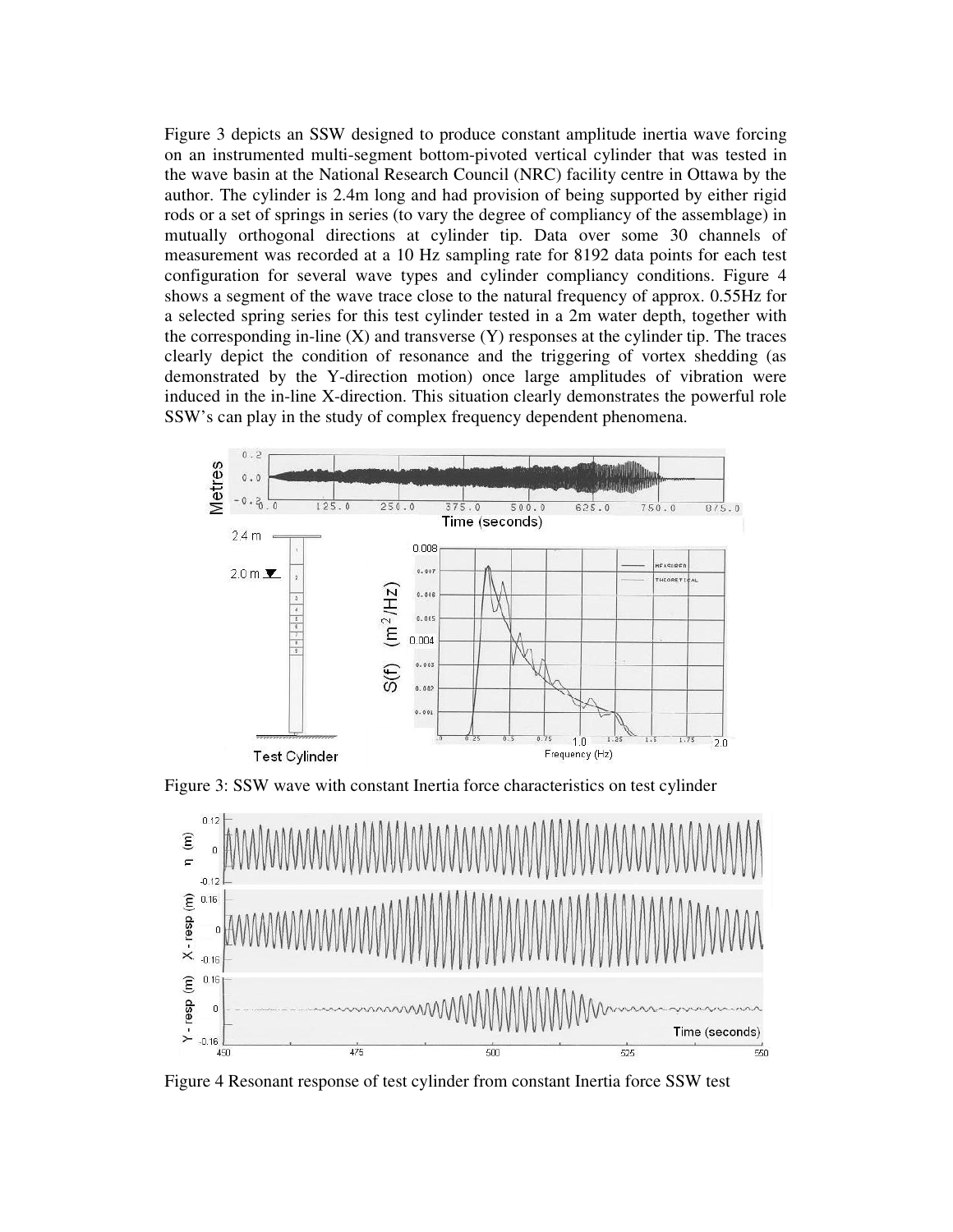Figure 3 depicts an SSW designed to produce constant amplitude inertia wave forcing on an instrumented multi-segment bottom-pivoted vertical cylinder that was tested in the wave basin at the National Research Council (NRC) facility centre in Ottawa by the author. The cylinder is 2.4m long and had provision of being supported by either rigid rods or a set of springs in series (to vary the degree of compliancy of the assemblage) in mutually orthogonal directions at cylinder tip. Data over some 30 channels of measurement was recorded at a 10 Hz sampling rate for 8192 data points for each test configuration for several wave types and cylinder compliancy conditions. Figure 4 shows a segment of the wave trace close to the natural frequency of approx. 0.55Hz for a selected spring series for this test cylinder tested in a 2m water depth, together with the corresponding in-line  $(X)$  and transverse  $(Y)$  responses at the cylinder tip. The traces clearly depict the condition of resonance and the triggering of vortex shedding (as demonstrated by the Y-direction motion) once large amplitudes of vibration were induced in the in-line X-direction. This situation clearly demonstrates the powerful role SSW's can play in the study of complex frequency dependent phenomena.



Figure 3: SSW wave with constant Inertia force characteristics on test cylinder



Figure 4 Resonant response of test cylinder from constant Inertia force SSW test